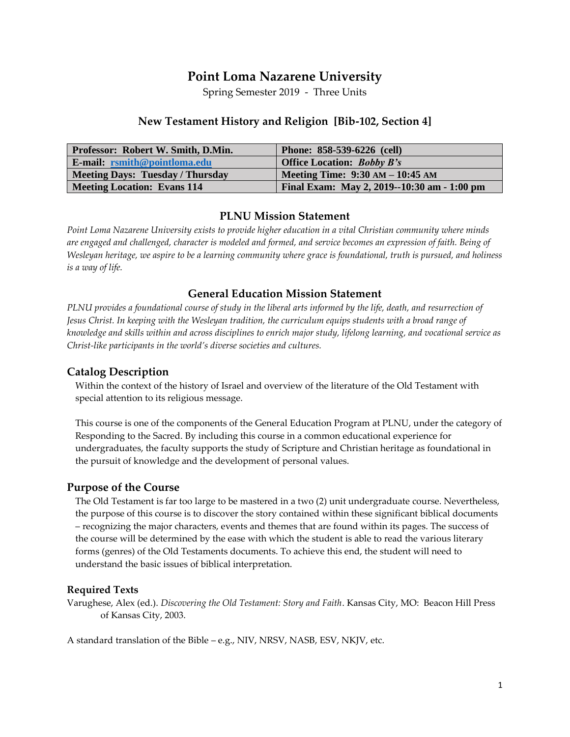# **Point Loma Nazarene University**

Spring Semester 2019 - Three Units

#### **New Testament History and Religion [Bib-102, Section 4]**

| <b>Professor: Robert W. Smith, D.Min.</b> | Phone: 858-539-6226 (cell)                  |
|-------------------------------------------|---------------------------------------------|
| $E$ -mail: rsmith@pointloma.edu           | <b>Office Location: Bobby B's</b>           |
| Meeting Days: Tuesday / Thursday          | Meeting Time: $9:30 AM - 10:45 AM$          |
| <b>Meeting Location: Evans 114</b>        | Final Exam: May 2, 2019--10:30 am - 1:00 pm |

#### **PLNU Mission Statement**

*Point Loma Nazarene University exists to provide higher education in a vital Christian community where minds are engaged and challenged, character is modeled and formed, and service becomes an expression of faith. Being of Wesleyan heritage, we aspire to be a learning community where grace is foundational, truth is pursued, and holiness is a way of life.*

#### **General Education Mission Statement**

*PLNU provides a foundational course of study in the liberal arts informed by the life, death, and resurrection of Jesus Christ. In keeping with the Wesleyan tradition, the curriculum equips students with a broad range of knowledge and skills within and across disciplines to enrich major study, lifelong learning, and vocational service as Christ-like participants in the world's diverse societies and cultures.*

#### **Catalog Description**

Within the context of the history of Israel and overview of the literature of the Old Testament with special attention to its religious message.

This course is one of the components of the General Education Program at PLNU, under the category of Responding to the Sacred. By including this course in a common educational experience for undergraduates, the faculty supports the study of Scripture and Christian heritage as foundational in the pursuit of knowledge and the development of personal values.

#### **Purpose of the Course**

The Old Testament is far too large to be mastered in a two (2) unit undergraduate course. Nevertheless, the purpose of this course is to discover the story contained within these significant biblical documents – recognizing the major characters, events and themes that are found within its pages. The success of the course will be determined by the ease with which the student is able to read the various literary forms (genres) of the Old Testaments documents. To achieve this end, the student will need to understand the basic issues of biblical interpretation.

#### **Required Texts**

Varughese, Alex (ed.). *Discovering the Old Testament: Story and Faith*. Kansas City, MO: Beacon Hill Press of Kansas City, 2003.

A standard translation of the Bible – e.g., NIV, NRSV, NASB, ESV, NKJV, etc.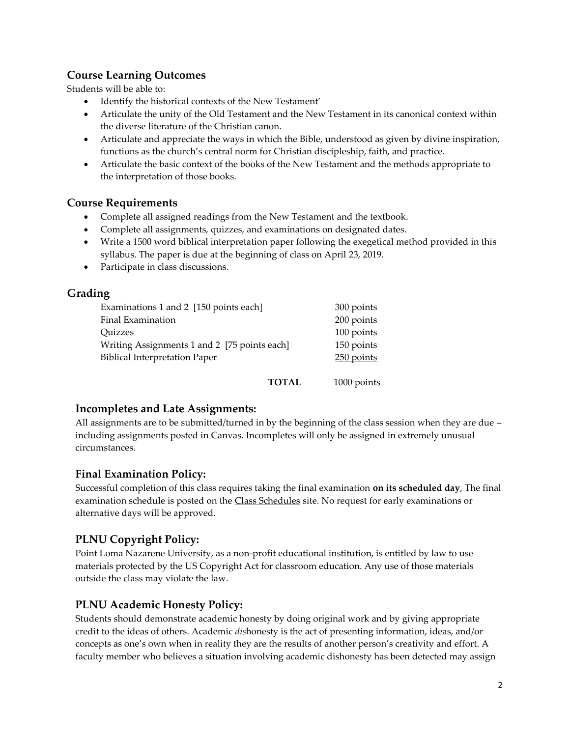### **Course Learning Outcomes**

Students will be able to:

- Identify the historical contexts of the New Testament'
- Articulate the unity of the Old Testament and the New Testament in its canonical context within the diverse literature of the Christian canon.
- Articulate and appreciate the ways in which the Bible, understood as given by divine inspiration, functions as the church's central norm for Christian discipleship, faith, and practice.
- Articulate the basic context of the books of the New Testament and the methods appropriate to the interpretation of those books.

#### **Course Requirements**

- Complete all assigned readings from the New Testament and the textbook.
- Complete all assignments, quizzes, and examinations on designated dates.
- Write a 1500 word biblical interpretation paper following the exegetical method provided in this syllabus. The paper is due at the beginning of class on April 23, 2019.
- Participate in class discussions.

### **Grading**

| 300 points   |
|--------------|
| 200 points   |
| 100 points   |
| 150 points   |
| $250$ points |
|              |
|              |

**TOTAL** 1000 points

## **Incompletes and Late Assignments:**

All assignments are to be submitted/turned in by the beginning of the class session when they are due including assignments posted in Canvas. Incompletes will only be assigned in extremely unusual circumstances.

## **Final Examination Policy:**

Successful completion of this class requires taking the final examination **on its scheduled day**, The final examination schedule is posted on the Class Schedules site. No request for early examinations or alternative days will be approved.

## **PLNU Copyright Policy:**

Point Loma Nazarene University, as a non-profit educational institution, is entitled by law to use materials protected by the US Copyright Act for classroom education. Any use of those materials outside the class may violate the law.

## **PLNU Academic Honesty Policy:**

Students should demonstrate academic honesty by doing original work and by giving appropriate credit to the ideas of others. Academic *dis*honesty is the act of presenting information, ideas, and/or concepts as one's own when in reality they are the results of another person's creativity and effort. A faculty member who believes a situation involving academic dishonesty has been detected may assign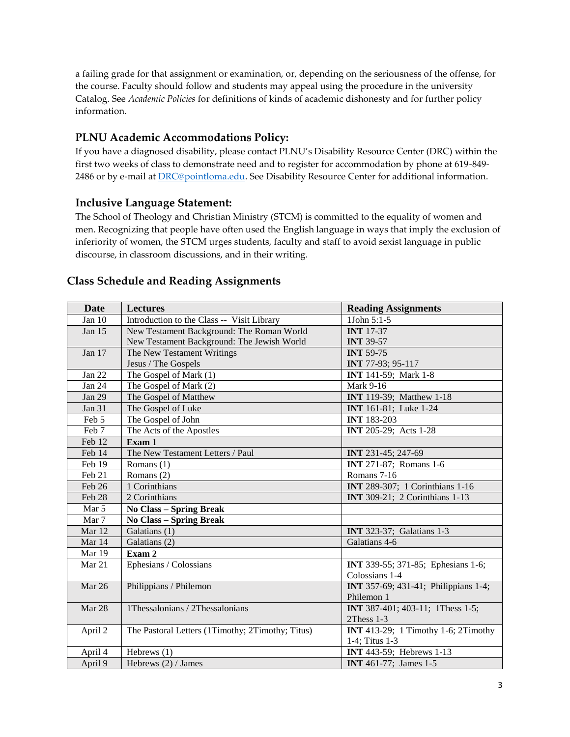a failing grade for that assignment or examination, or, depending on the seriousness of the offense, for the course. Faculty should follow and students may appeal using the procedure in the university Catalog. See *Academic Policies* for definitions of kinds of academic dishonesty and for further policy information.

## **PLNU Academic Accommodations Policy:**

If you have a diagnosed disability, please contact PLNU's Disability Resource Center (DRC) within the first two weeks of class to demonstrate need and to register for accommodation by phone at 619-849- 2486 or by e-mail at [DRC@pointloma.edu.](mailto:DRC@pointloma.edu) See Disability Resource Center for additional information.

### **Inclusive Language Statement:**

The School of Theology and Christian Ministry (STCM) is committed to the equality of women and men. Recognizing that people have often used the English language in ways that imply the exclusion of inferiority of women, the STCM urges students, faculty and staff to avoid sexist language in public discourse, in classroom discussions, and in their writing.

#### **Date Lectures Reading Assignments** Jan 10 | Introduction to the Class -- Visit Library | 1John 5:1-5 Jan 15 New Testament Background: The Roman World New Testament Background: The Jewish World **INT** 17-37 **INT** 39-57 Jan 17 The New Testament Writings Jesus / The Gospels **INT** 59-75 **INT** 77-93; 95-117 Jan 22 The Gospel of Mark (1) **INT** 141-59; Mark 1-8 Jan 24 | The Gospel of Mark (2) Mark 9-16 Jan 29 The Gospel of Matthew **INT** 119-39; Matthew 1-18 Jan 31 The Gospel of Luke **Interval and INT** 161-81; Luke 1-24 Feb 5 The Gospel of John **INT** 183-203 Feb 7 The Acts of the Apostles **INT** 205-29; Acts 1-28 Feb 12 **Exam 1** Feb 14 The New Testament Letters / Paul **INT** 231-45; 247-69 Feb 19 Romans (1) **INT** 271-87; Romans 1-6 Feb 21 Romans (2) Romans 7-16 **Feb 26** 1 Corinthians **IDE** 1 Corinthians 1-16 Feb 28 2 Corinthians **INT** 309-21; 2 Corinthians 1-13 Mar 5 **No Class – Spring Break** Mar 7 **No Class – Spring Break** Mar 12 Galatians (1) **INT** 323-37; Galatians 1-3 Mar 14 Galatians (2) Galatians 4-6 Mar 19 **Exam 2** Mar 21 Ephesians / Colossians **INT** 339-55; 371-85; Ephesians 1-6; Colossians 1-4 Mar 26 Philippians / Philemon **INT** 357-69; 431-41; Philippians 1-4; Philemon 1 Mar 28 **1 1 Thessalonians / 2 Thessalonians <b>INT** 387-401; 403-11; 1 Thess 1-5; 2Thess 1-3 April 2 The Pastoral Letters (1Timothy; 2Timothy; Titus) **INT** 413-29; 1 Timothy 1-6; 2Timothy 1-4; Titus 1-3 April 4 Hebrews (1) **INT** 443-59; Hebrews 1-13 April 9 Hebrews (2) / James **INT** 461-77; James 1-5

### **Class Schedule and Reading Assignments**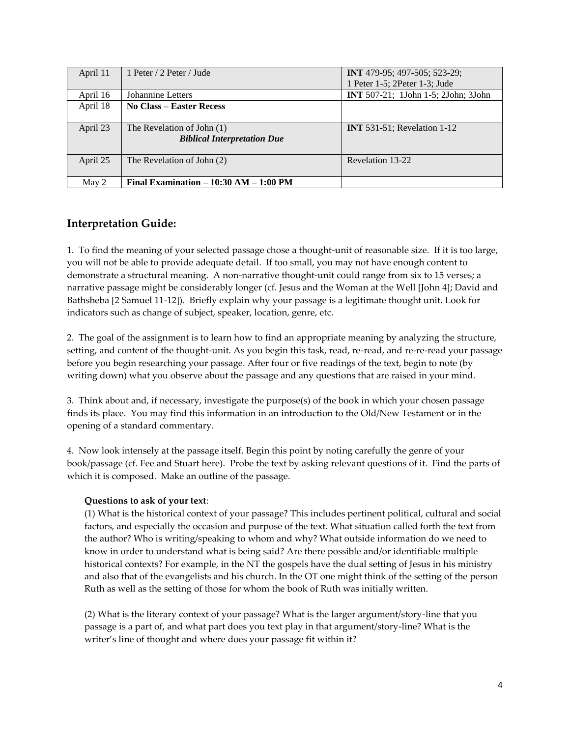| April 11 | 1 Peter / 2 Peter / Jude                 | <b>INT</b> 479-95; 497-505; 523-29;        |
|----------|------------------------------------------|--------------------------------------------|
|          |                                          | 1 Peter 1-5; 2Peter 1-3; Jude              |
| April 16 | Johannine Letters                        | <b>INT</b> 507-21; 1John 1-5; 2John; 3John |
| April 18 | <b>No Class – Easter Recess</b>          |                                            |
|          |                                          |                                            |
| April 23 | The Revelation of John (1)               | <b>INT</b> 531-51; Revelation 1-12         |
|          | <b>Biblical Interpretation Due</b>       |                                            |
|          |                                          |                                            |
| April 25 | The Revelation of John (2)               | Revelation 13-22                           |
|          |                                          |                                            |
| May 2    | Final Examination $-10:30$ AM $-1:00$ PM |                                            |

## **Interpretation Guide:**

1. To find the meaning of your selected passage chose a thought-unit of reasonable size. If it is too large, you will not be able to provide adequate detail. If too small, you may not have enough content to demonstrate a structural meaning. A non-narrative thought-unit could range from six to 15 verses; a narrative passage might be considerably longer (cf. Jesus and the Woman at the Well [John 4]; David and Bathsheba [2 Samuel 11-12]). Briefly explain why your passage is a legitimate thought unit. Look for indicators such as change of subject, speaker, location, genre, etc.

2. The goal of the assignment is to learn how to find an appropriate meaning by analyzing the structure, setting, and content of the thought-unit. As you begin this task, read, re-read, and re-re-read your passage before you begin researching your passage. After four or five readings of the text, begin to note (by writing down) what you observe about the passage and any questions that are raised in your mind.

3. Think about and, if necessary, investigate the purpose(s) of the book in which your chosen passage finds its place. You may find this information in an introduction to the Old/New Testament or in the opening of a standard commentary.

4. Now look intensely at the passage itself. Begin this point by noting carefully the genre of your book/passage (cf. Fee and Stuart here). Probe the text by asking relevant questions of it. Find the parts of which it is composed. Make an outline of the passage.

#### **Questions to ask of your text**:

(1) What is the historical context of your passage? This includes pertinent political, cultural and social factors, and especially the occasion and purpose of the text. What situation called forth the text from the author? Who is writing/speaking to whom and why? What outside information do we need to know in order to understand what is being said? Are there possible and/or identifiable multiple historical contexts? For example, in the NT the gospels have the dual setting of Jesus in his ministry and also that of the evangelists and his church. In the OT one might think of the setting of the person Ruth as well as the setting of those for whom the book of Ruth was initially written.

(2) What is the literary context of your passage? What is the larger argument/story-line that you passage is a part of, and what part does you text play in that argument/story-line? What is the writer's line of thought and where does your passage fit within it?